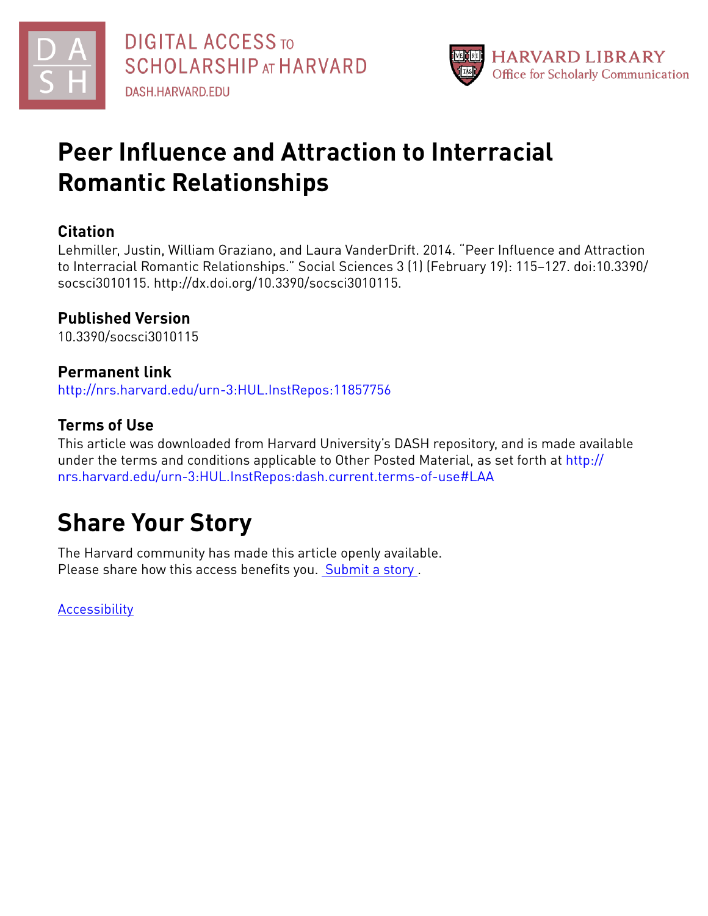



# **Peer Influence and Attraction to Interracial Romantic Relationships**

# **Citation**

Lehmiller, Justin, William Graziano, and Laura VanderDrift. 2014. "Peer Influence and Attraction to Interracial Romantic Relationships." Social Sciences 3 (1) (February 19): 115–127. doi:10.3390/ socsci3010115. http://dx.doi.org/10.3390/socsci3010115.

# **Published Version**

10.3390/socsci3010115

# **Permanent link**

<http://nrs.harvard.edu/urn-3:HUL.InstRepos:11857756>

# **Terms of Use**

This article was downloaded from Harvard University's DASH repository, and is made available under the terms and conditions applicable to Other Posted Material, as set forth at [http://](http://nrs.harvard.edu/urn-3:HUL.InstRepos:dash.current.terms-of-use#LAA) [nrs.harvard.edu/urn-3:HUL.InstRepos:dash.current.terms-of-use#LAA](http://nrs.harvard.edu/urn-3:HUL.InstRepos:dash.current.terms-of-use#LAA)

# **Share Your Story**

The Harvard community has made this article openly available. Please share how this access benefits you. [Submit](http://osc.hul.harvard.edu/dash/open-access-feedback?handle=&title=Peer%20Influence%20and%20Attraction%20to%20Interracial%20Romantic%20Relationships&community=1/1&collection=1/2&owningCollection1/2&harvardAuthors=88253ff7142935506a3e1ae14ecb98b9&departmentPsychology) a story .

**[Accessibility](https://dash.harvard.edu/pages/accessibility)**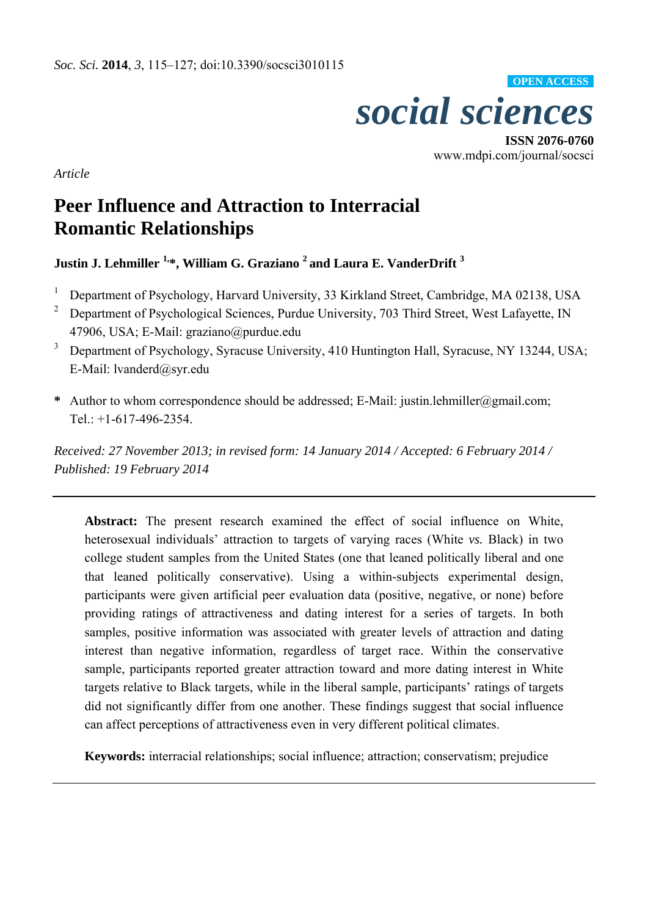

**ISSN 2076-0760**  www.mdpi.com/journal/socsci

*Article* 

# **Peer Influence and Attraction to Interracial Romantic Relationships**

<code>Justin J. Lehmiller  $^{1,\ast},$  William G. Graziano  $^2$  and Laura E. VanderDrift  $^3$ </code>

- 1 Department of Psychology, Harvard University, 33 Kirkland Street, Cambridge, MA 02138, USA
- 2 Department of Psychological Sciences, Purdue University, 703 Third Street, West Lafayette, IN 47906, USA; E-Mail: graziano@purdue.edu
- 3 Department of Psychology, Syracuse University, 410 Huntington Hall, Syracuse, NY 13244, USA; E-Mail: lvanderd@syr.edu
- **\*** Author to whom correspondence should be addressed; E-Mail: justin.lehmiller@gmail.com; Tel.: +1-617-496-2354.

*Received: 27 November 2013; in revised form: 14 January 2014 / Accepted: 6 February 2014 / Published: 19 February 2014* 

**Abstract:** The present research examined the effect of social influence on White, heterosexual individuals' attraction to targets of varying races (White *vs.* Black) in two college student samples from the United States (one that leaned politically liberal and one that leaned politically conservative). Using a within-subjects experimental design, participants were given artificial peer evaluation data (positive, negative, or none) before providing ratings of attractiveness and dating interest for a series of targets. In both samples, positive information was associated with greater levels of attraction and dating interest than negative information, regardless of target race. Within the conservative sample, participants reported greater attraction toward and more dating interest in White targets relative to Black targets, while in the liberal sample, participants' ratings of targets did not significantly differ from one another. These findings suggest that social influence can affect perceptions of attractiveness even in very different political climates.

**Keywords:** interracial relationships; social influence; attraction; conservatism; prejudice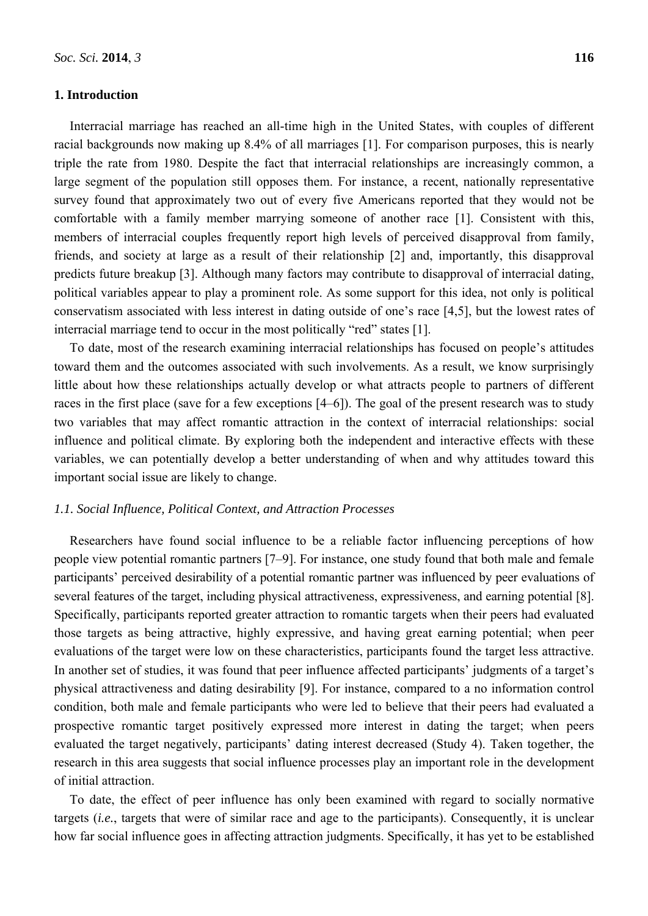# **1. Introduction**

Interracial marriage has reached an all-time high in the United States, with couples of different racial backgrounds now making up 8.4% of all marriages [1]. For comparison purposes, this is nearly triple the rate from 1980. Despite the fact that interracial relationships are increasingly common, a large segment of the population still opposes them. For instance, a recent, nationally representative survey found that approximately two out of every five Americans reported that they would not be comfortable with a family member marrying someone of another race [1]. Consistent with this, members of interracial couples frequently report high levels of perceived disapproval from family, friends, and society at large as a result of their relationship [2] and, importantly, this disapproval predicts future breakup [3]. Although many factors may contribute to disapproval of interracial dating, political variables appear to play a prominent role. As some support for this idea, not only is political conservatism associated with less interest in dating outside of one's race [4,5], but the lowest rates of interracial marriage tend to occur in the most politically "red" states [1].

To date, most of the research examining interracial relationships has focused on people's attitudes toward them and the outcomes associated with such involvements. As a result, we know surprisingly little about how these relationships actually develop or what attracts people to partners of different races in the first place (save for a few exceptions [4–6]). The goal of the present research was to study two variables that may affect romantic attraction in the context of interracial relationships: social influence and political climate. By exploring both the independent and interactive effects with these variables, we can potentially develop a better understanding of when and why attitudes toward this important social issue are likely to change.

# *1.1. Social Influence, Political Context, and Attraction Processes*

Researchers have found social influence to be a reliable factor influencing perceptions of how people view potential romantic partners [7–9]. For instance, one study found that both male and female participants' perceived desirability of a potential romantic partner was influenced by peer evaluations of several features of the target, including physical attractiveness, expressiveness, and earning potential [8]. Specifically, participants reported greater attraction to romantic targets when their peers had evaluated those targets as being attractive, highly expressive, and having great earning potential; when peer evaluations of the target were low on these characteristics, participants found the target less attractive. In another set of studies, it was found that peer influence affected participants' judgments of a target's physical attractiveness and dating desirability [9]. For instance, compared to a no information control condition, both male and female participants who were led to believe that their peers had evaluated a prospective romantic target positively expressed more interest in dating the target; when peers evaluated the target negatively, participants' dating interest decreased (Study 4). Taken together, the research in this area suggests that social influence processes play an important role in the development of initial attraction.

To date, the effect of peer influence has only been examined with regard to socially normative targets (*i.e.*, targets that were of similar race and age to the participants). Consequently, it is unclear how far social influence goes in affecting attraction judgments. Specifically, it has yet to be established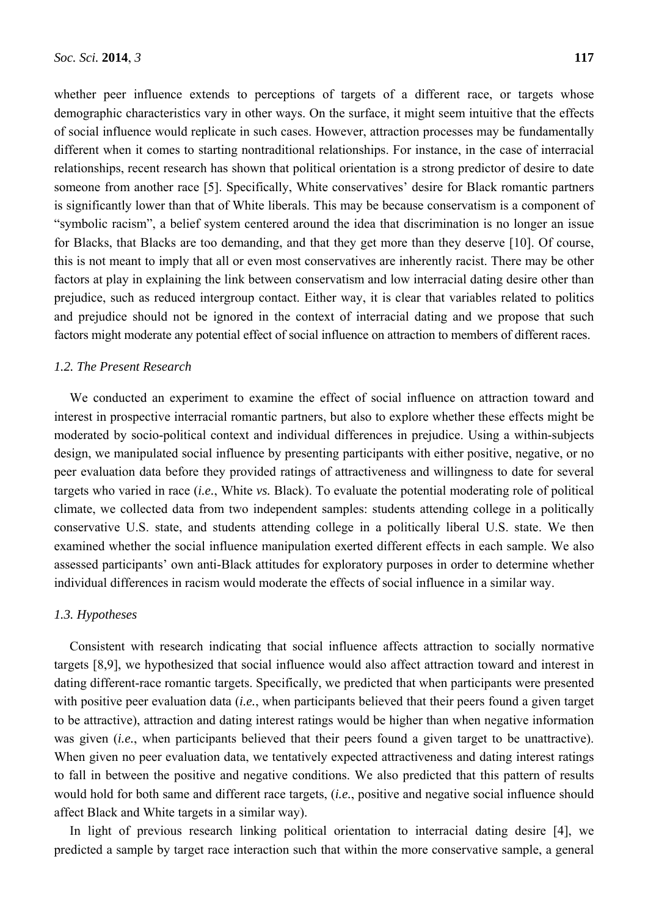whether peer influence extends to perceptions of targets of a different race, or targets whose demographic characteristics vary in other ways. On the surface, it might seem intuitive that the effects of social influence would replicate in such cases. However, attraction processes may be fundamentally different when it comes to starting nontraditional relationships. For instance, in the case of interracial relationships, recent research has shown that political orientation is a strong predictor of desire to date someone from another race [5]. Specifically, White conservatives' desire for Black romantic partners is significantly lower than that of White liberals. This may be because conservatism is a component of "symbolic racism", a belief system centered around the idea that discrimination is no longer an issue for Blacks, that Blacks are too demanding, and that they get more than they deserve [10]. Of course, this is not meant to imply that all or even most conservatives are inherently racist. There may be other factors at play in explaining the link between conservatism and low interracial dating desire other than prejudice, such as reduced intergroup contact. Either way, it is clear that variables related to politics and prejudice should not be ignored in the context of interracial dating and we propose that such factors might moderate any potential effect of social influence on attraction to members of different races.

## *1.2. The Present Research*

We conducted an experiment to examine the effect of social influence on attraction toward and interest in prospective interracial romantic partners, but also to explore whether these effects might be moderated by socio-political context and individual differences in prejudice. Using a within-subjects design, we manipulated social influence by presenting participants with either positive, negative, or no peer evaluation data before they provided ratings of attractiveness and willingness to date for several targets who varied in race (*i.e.*, White *vs.* Black). To evaluate the potential moderating role of political climate, we collected data from two independent samples: students attending college in a politically conservative U.S. state, and students attending college in a politically liberal U.S. state. We then examined whether the social influence manipulation exerted different effects in each sample. We also assessed participants' own anti-Black attitudes for exploratory purposes in order to determine whether individual differences in racism would moderate the effects of social influence in a similar way.

# *1.3. Hypotheses*

Consistent with research indicating that social influence affects attraction to socially normative targets [8,9], we hypothesized that social influence would also affect attraction toward and interest in dating different-race romantic targets. Specifically, we predicted that when participants were presented with positive peer evaluation data (*i.e.*, when participants believed that their peers found a given target to be attractive), attraction and dating interest ratings would be higher than when negative information was given (*i.e.*, when participants believed that their peers found a given target to be unattractive). When given no peer evaluation data, we tentatively expected attractiveness and dating interest ratings to fall in between the positive and negative conditions. We also predicted that this pattern of results would hold for both same and different race targets, (*i.e.*, positive and negative social influence should affect Black and White targets in a similar way).

In light of previous research linking political orientation to interracial dating desire [4], we predicted a sample by target race interaction such that within the more conservative sample, a general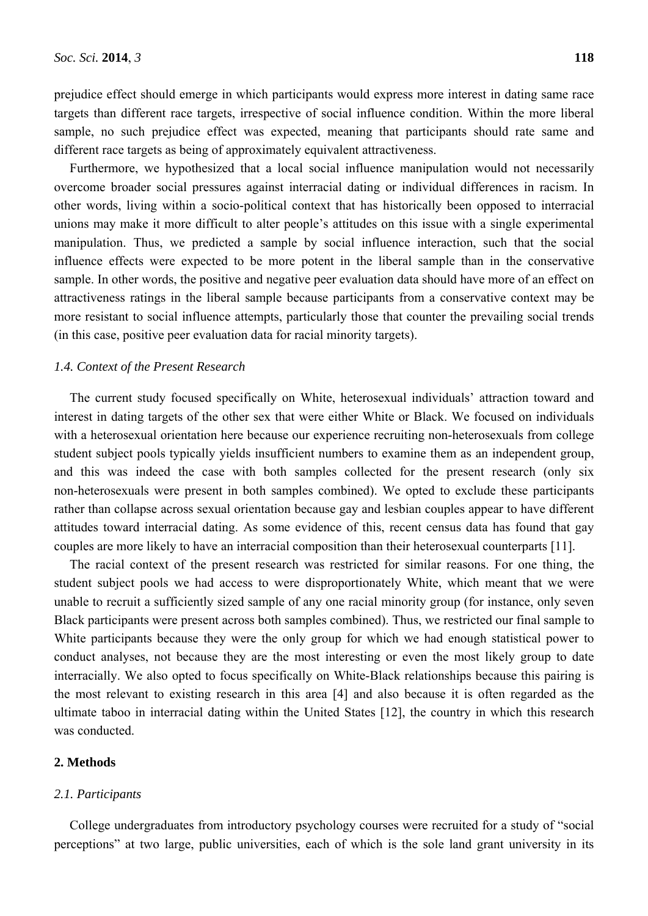prejudice effect should emerge in which participants would express more interest in dating same race targets than different race targets, irrespective of social influence condition. Within the more liberal sample, no such prejudice effect was expected, meaning that participants should rate same and different race targets as being of approximately equivalent attractiveness.

Furthermore, we hypothesized that a local social influence manipulation would not necessarily overcome broader social pressures against interracial dating or individual differences in racism. In other words, living within a socio-political context that has historically been opposed to interracial unions may make it more difficult to alter people's attitudes on this issue with a single experimental manipulation. Thus, we predicted a sample by social influence interaction, such that the social influence effects were expected to be more potent in the liberal sample than in the conservative sample. In other words, the positive and negative peer evaluation data should have more of an effect on attractiveness ratings in the liberal sample because participants from a conservative context may be more resistant to social influence attempts, particularly those that counter the prevailing social trends (in this case, positive peer evaluation data for racial minority targets).

## *1.4. Context of the Present Research*

The current study focused specifically on White, heterosexual individuals' attraction toward and interest in dating targets of the other sex that were either White or Black. We focused on individuals with a heterosexual orientation here because our experience recruiting non-heterosexuals from college student subject pools typically yields insufficient numbers to examine them as an independent group, and this was indeed the case with both samples collected for the present research (only six non-heterosexuals were present in both samples combined). We opted to exclude these participants rather than collapse across sexual orientation because gay and lesbian couples appear to have different attitudes toward interracial dating. As some evidence of this, recent census data has found that gay couples are more likely to have an interracial composition than their heterosexual counterparts [11].

The racial context of the present research was restricted for similar reasons. For one thing, the student subject pools we had access to were disproportionately White, which meant that we were unable to recruit a sufficiently sized sample of any one racial minority group (for instance, only seven Black participants were present across both samples combined). Thus, we restricted our final sample to White participants because they were the only group for which we had enough statistical power to conduct analyses, not because they are the most interesting or even the most likely group to date interracially. We also opted to focus specifically on White-Black relationships because this pairing is the most relevant to existing research in this area [4] and also because it is often regarded as the ultimate taboo in interracial dating within the United States [12], the country in which this research was conducted.

## **2. Methods**

#### *2.1. Participants*

College undergraduates from introductory psychology courses were recruited for a study of "social perceptions" at two large, public universities, each of which is the sole land grant university in its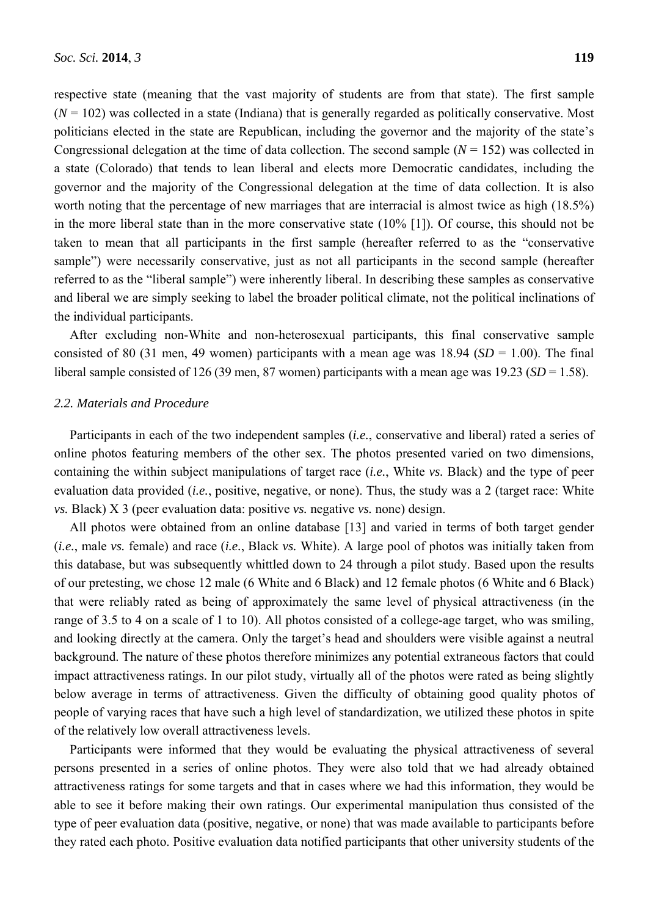respective state (meaning that the vast majority of students are from that state). The first sample  $(N = 102)$  was collected in a state (Indiana) that is generally regarded as politically conservative. Most politicians elected in the state are Republican, including the governor and the majority of the state's Congressional delegation at the time of data collection. The second sample  $(N = 152)$  was collected in a state (Colorado) that tends to lean liberal and elects more Democratic candidates, including the governor and the majority of the Congressional delegation at the time of data collection. It is also worth noting that the percentage of new marriages that are interracial is almost twice as high (18.5%) in the more liberal state than in the more conservative state (10% [1]). Of course, this should not be taken to mean that all participants in the first sample (hereafter referred to as the "conservative sample") were necessarily conservative, just as not all participants in the second sample (hereafter referred to as the "liberal sample") were inherently liberal. In describing these samples as conservative and liberal we are simply seeking to label the broader political climate, not the political inclinations of the individual participants.

After excluding non-White and non-heterosexual participants, this final conservative sample consisted of 80 (31 men, 49 women) participants with a mean age was  $18.94$  (*SD* = 1.00). The final liberal sample consisted of 126 (39 men, 87 women) participants with a mean age was 19.23 (*SD* = 1.58).

# *2.2. Materials and Procedure*

Participants in each of the two independent samples (*i.e.*, conservative and liberal) rated a series of online photos featuring members of the other sex. The photos presented varied on two dimensions, containing the within subject manipulations of target race (*i.e.*, White *vs.* Black) and the type of peer evaluation data provided (*i.e.*, positive, negative, or none). Thus, the study was a 2 (target race: White *vs.* Black) X 3 (peer evaluation data: positive *vs.* negative *vs.* none) design.

All photos were obtained from an online database [13] and varied in terms of both target gender (*i.e.*, male *vs.* female) and race (*i.e.*, Black *vs.* White). A large pool of photos was initially taken from this database, but was subsequently whittled down to 24 through a pilot study. Based upon the results of our pretesting, we chose 12 male (6 White and 6 Black) and 12 female photos (6 White and 6 Black) that were reliably rated as being of approximately the same level of physical attractiveness (in the range of 3.5 to 4 on a scale of 1 to 10). All photos consisted of a college-age target, who was smiling, and looking directly at the camera. Only the target's head and shoulders were visible against a neutral background. The nature of these photos therefore minimizes any potential extraneous factors that could impact attractiveness ratings. In our pilot study, virtually all of the photos were rated as being slightly below average in terms of attractiveness. Given the difficulty of obtaining good quality photos of people of varying races that have such a high level of standardization, we utilized these photos in spite of the relatively low overall attractiveness levels.

Participants were informed that they would be evaluating the physical attractiveness of several persons presented in a series of online photos. They were also told that we had already obtained attractiveness ratings for some targets and that in cases where we had this information, they would be able to see it before making their own ratings. Our experimental manipulation thus consisted of the type of peer evaluation data (positive, negative, or none) that was made available to participants before they rated each photo. Positive evaluation data notified participants that other university students of the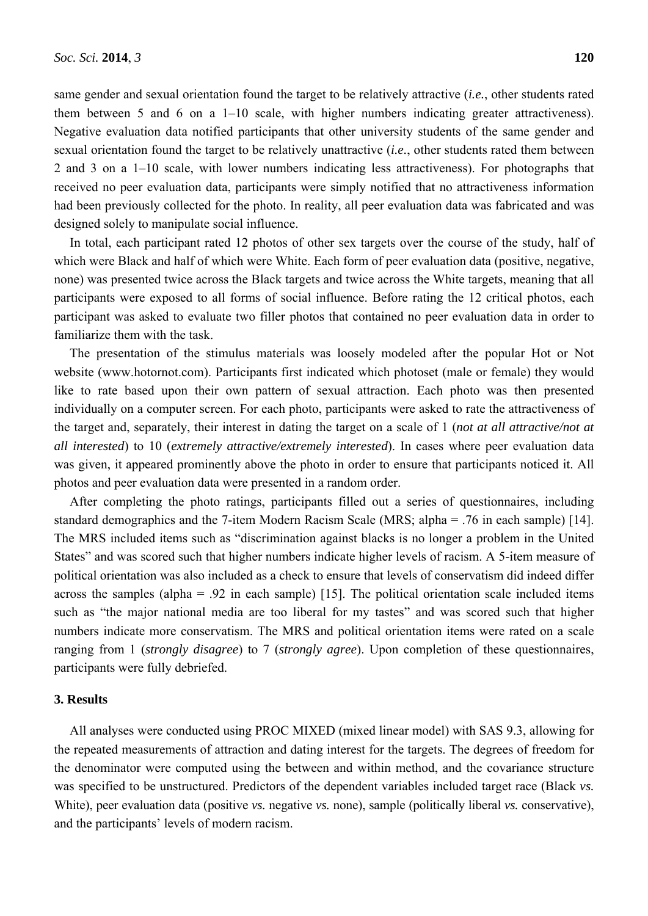same gender and sexual orientation found the target to be relatively attractive (*i.e.*, other students rated them between 5 and 6 on a 1–10 scale, with higher numbers indicating greater attractiveness). Negative evaluation data notified participants that other university students of the same gender and sexual orientation found the target to be relatively unattractive (*i.e.*, other students rated them between 2 and 3 on a 1–10 scale, with lower numbers indicating less attractiveness). For photographs that received no peer evaluation data, participants were simply notified that no attractiveness information had been previously collected for the photo. In reality, all peer evaluation data was fabricated and was designed solely to manipulate social influence.

In total, each participant rated 12 photos of other sex targets over the course of the study, half of which were Black and half of which were White. Each form of peer evaluation data (positive, negative, none) was presented twice across the Black targets and twice across the White targets, meaning that all participants were exposed to all forms of social influence. Before rating the 12 critical photos, each participant was asked to evaluate two filler photos that contained no peer evaluation data in order to familiarize them with the task.

The presentation of the stimulus materials was loosely modeled after the popular Hot or Not website (www.hotornot.com). Participants first indicated which photoset (male or female) they would like to rate based upon their own pattern of sexual attraction. Each photo was then presented individually on a computer screen. For each photo, participants were asked to rate the attractiveness of the target and, separately, their interest in dating the target on a scale of 1 (*not at all attractive/not at all interested*) to 10 (*extremely attractive/extremely interested*). In cases where peer evaluation data was given, it appeared prominently above the photo in order to ensure that participants noticed it. All photos and peer evaluation data were presented in a random order.

After completing the photo ratings, participants filled out a series of questionnaires, including standard demographics and the 7-item Modern Racism Scale (MRS; alpha = .76 in each sample) [14]. The MRS included items such as "discrimination against blacks is no longer a problem in the United States" and was scored such that higher numbers indicate higher levels of racism. A 5-item measure of political orientation was also included as a check to ensure that levels of conservatism did indeed differ across the samples (alpha = .92 in each sample) [15]. The political orientation scale included items such as "the major national media are too liberal for my tastes" and was scored such that higher numbers indicate more conservatism. The MRS and political orientation items were rated on a scale ranging from 1 (*strongly disagree*) to 7 (*strongly agree*). Upon completion of these questionnaires, participants were fully debriefed.

# **3. Results**

All analyses were conducted using PROC MIXED (mixed linear model) with SAS 9.3, allowing for the repeated measurements of attraction and dating interest for the targets. The degrees of freedom for the denominator were computed using the between and within method, and the covariance structure was specified to be unstructured. Predictors of the dependent variables included target race (Black *vs.* White), peer evaluation data (positive *vs.* negative *vs.* none), sample (politically liberal *vs.* conservative), and the participants' levels of modern racism.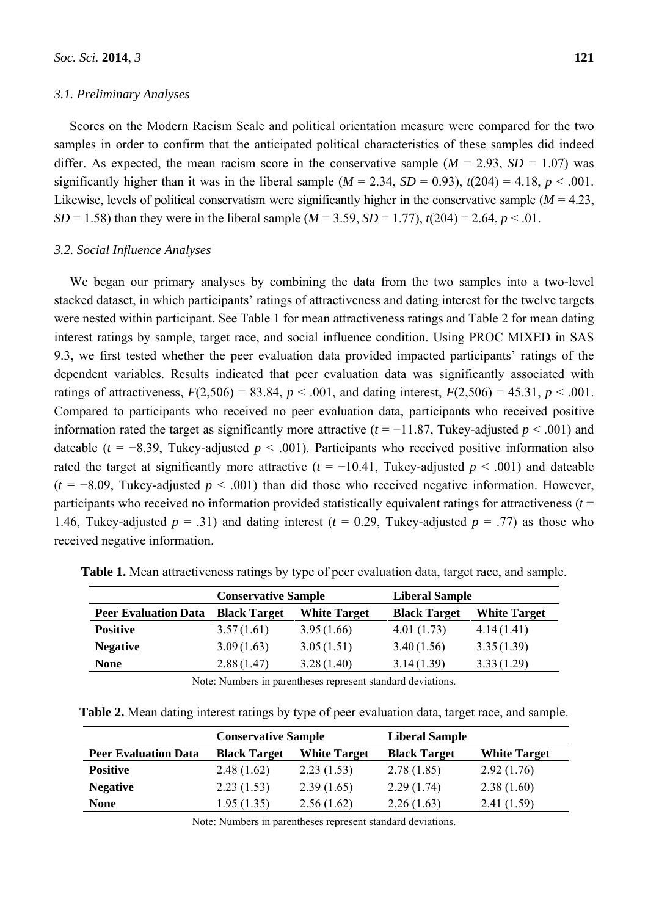# *3.1. Preliminary Analyses*

Scores on the Modern Racism Scale and political orientation measure were compared for the two samples in order to confirm that the anticipated political characteristics of these samples did indeed differ. As expected, the mean racism score in the conservative sample  $(M = 2.93, SD = 1.07)$  was significantly higher than it was in the liberal sample  $(M = 2.34, SD = 0.93)$ ,  $t(204) = 4.18, p < .001$ . Likewise, levels of political conservatism were significantly higher in the conservative sample  $(M = 4.23)$ , *SD* = 1.58) than they were in the liberal sample ( $M = 3.59$ ,  $SD = 1.77$ ),  $t(204) = 2.64$ ,  $p < .01$ .

## *3.2. Social Influence Analyses*

We began our primary analyses by combining the data from the two samples into a two-level stacked dataset, in which participants' ratings of attractiveness and dating interest for the twelve targets were nested within participant. See Table 1 for mean attractiveness ratings and Table 2 for mean dating interest ratings by sample, target race, and social influence condition. Using PROC MIXED in SAS 9.3, we first tested whether the peer evaluation data provided impacted participants' ratings of the dependent variables. Results indicated that peer evaluation data was significantly associated with ratings of attractiveness,  $F(2,506) = 83.84$ ,  $p < .001$ , and dating interest,  $F(2,506) = 45.31$ ,  $p < .001$ . Compared to participants who received no peer evaluation data, participants who received positive information rated the target as significantly more attractive ( $t = -11.87$ , Tukey-adjusted  $p < .001$ ) and dateable ( $t = -8.39$ , Tukey-adjusted  $p < .001$ ). Participants who received positive information also rated the target at significantly more attractive ( $t = -10.41$ , Tukey-adjusted  $p < .001$ ) and dateable  $(t = -8.09$ , Tukey-adjusted  $p < .001$ ) than did those who received negative information. However, participants who received no information provided statistically equivalent ratings for attractiveness (*t* = 1.46, Tukey-adjusted  $p = .31$ ) and dating interest ( $t = 0.29$ , Tukey-adjusted  $p = .77$ ) as those who received negative information.

|                             | <b>Conservative Sample</b> |                     | <b>Liberal Sample</b> |                     |
|-----------------------------|----------------------------|---------------------|-----------------------|---------------------|
| <b>Peer Evaluation Data</b> | <b>Black Target</b>        | <b>White Target</b> | <b>Black Target</b>   | <b>White Target</b> |
| <b>Positive</b>             | 3.57(1.61)                 | 3.95(1.66)          | 4.01(1.73)            | 4.14(1.41)          |
| <b>Negative</b>             | 3.09(1.63)                 | 3.05(1.51)          | 3.40(1.56)            | 3.35(1.39)          |
| <b>None</b>                 | 2.88(1.47)                 | 3.28(1.40)          | 3.14(1.39)            | 3.33(1.29)          |

**Table 1.** Mean attractiveness ratings by type of peer evaluation data, target race, and sample.

Note: Numbers in parentheses represent standard deviations.

**Table 2.** Mean dating interest ratings by type of peer evaluation data, target race, and sample.

|                             | <b>Conservative Sample</b> |                     | <b>Liberal Sample</b> |                     |
|-----------------------------|----------------------------|---------------------|-----------------------|---------------------|
| <b>Peer Evaluation Data</b> | <b>Black Target</b>        | <b>White Target</b> | <b>Black Target</b>   | <b>White Target</b> |
| <b>Positive</b>             | 2.48(1.62)                 | 2.23(1.53)          | 2.78(1.85)            | 2.92(1.76)          |
| <b>Negative</b>             | 2.23(1.53)                 | 2.39(1.65)          | 2.29(1.74)            | 2.38(1.60)          |
| <b>None</b>                 | 1.95(1.35)                 | 2.56(1.62)          | 2.26(1.63)            | 2.41(1.59)          |

Note: Numbers in parentheses represent standard deviations.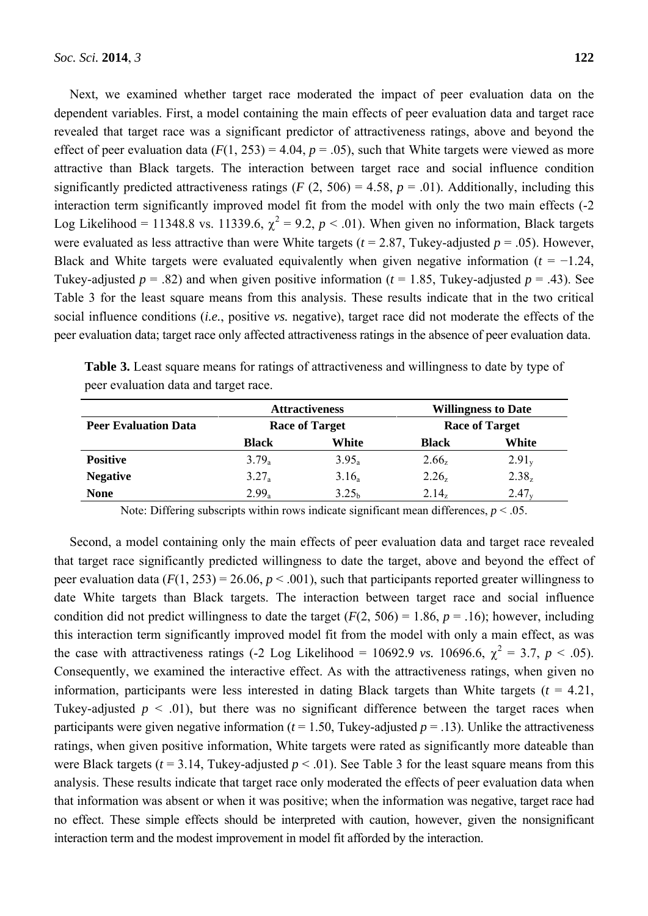Next, we examined whether target race moderated the impact of peer evaluation data on the dependent variables. First, a model containing the main effects of peer evaluation data and target race revealed that target race was a significant predictor of attractiveness ratings, above and beyond the effect of peer evaluation data  $(F(1, 253) = 4.04, p = .05)$ , such that White targets were viewed as more attractive than Black targets. The interaction between target race and social influence condition significantly predicted attractiveness ratings ( $F(2, 506) = 4.58$ ,  $p = .01$ ). Additionally, including this interaction term significantly improved model fit from the model with only the two main effects (-2 Log Likelihood = 11348.8 vs. 11339.6,  $\chi^2 = 9.2$ ,  $p < .01$ ). When given no information, Black targets were evaluated as less attractive than were White targets (*t* = 2.87, Tukey-adjusted *p* = .05). However, Black and White targets were evaluated equivalently when given negative information  $(t = -1.24$ , Tukey-adjusted  $p = .82$ ) and when given positive information ( $t = 1.85$ , Tukey-adjusted  $p = .43$ ). See Table 3 for the least square means from this analysis. These results indicate that in the two critical social influence conditions (*i.e.*, positive *vs.* negative), target race did not moderate the effects of the peer evaluation data; target race only affected attractiveness ratings in the absence of peer evaluation data.

|                             | <b>Attractiveness</b><br><b>Race of Target</b> |                   | <b>Willingness to Date</b><br><b>Race of Target</b> |            |
|-----------------------------|------------------------------------------------|-------------------|-----------------------------------------------------|------------|
| <b>Peer Evaluation Data</b> |                                                |                   |                                                     |            |
|                             | <b>Black</b>                                   | White             | <b>Black</b>                                        | White      |
| <b>Positive</b>             | $3.79_a$                                       | $3.95_a$          | $2.66_{z}$                                          | $2.91_{v}$ |
| <b>Negative</b>             | $3.27_a$                                       | $3.16_a$          | $2.26_{z}$                                          | $2.38_{z}$ |
| <b>None</b>                 | $2.99_a$                                       | 3.25 <sub>h</sub> | $2.14_{z}$                                          | $2.47_v$   |

**Table 3.** Least square means for ratings of attractiveness and willingness to date by type of peer evaluation data and target race.

Note: Differing subscripts within rows indicate significant mean differences,  $p < .05$ .

Second, a model containing only the main effects of peer evaluation data and target race revealed that target race significantly predicted willingness to date the target, above and beyond the effect of peer evaluation data  $(F(1, 253) = 26.06, p < .001)$ , such that participants reported greater willingness to date White targets than Black targets. The interaction between target race and social influence condition did not predict willingness to date the target  $(F(2, 506) = 1.86, p = .16)$ ; however, including this interaction term significantly improved model fit from the model with only a main effect, as was the case with attractiveness ratings (-2 Log Likelihood = 10692.9 *vs.* 10696.6,  $\chi^2 = 3.7$ ,  $p < .05$ ). Consequently, we examined the interactive effect. As with the attractiveness ratings, when given no information, participants were less interested in dating Black targets than White targets  $(t = 4.21)$ , Tukey-adjusted  $p \leq 0.01$ ), but there was no significant difference between the target races when participants were given negative information ( $t = 1.50$ , Tukey-adjusted  $p = .13$ ). Unlike the attractiveness ratings, when given positive information, White targets were rated as significantly more dateable than were Black targets ( $t = 3.14$ , Tukey-adjusted  $p < .01$ ). See Table 3 for the least square means from this analysis. These results indicate that target race only moderated the effects of peer evaluation data when that information was absent or when it was positive; when the information was negative, target race had no effect. These simple effects should be interpreted with caution, however, given the nonsignificant interaction term and the modest improvement in model fit afforded by the interaction.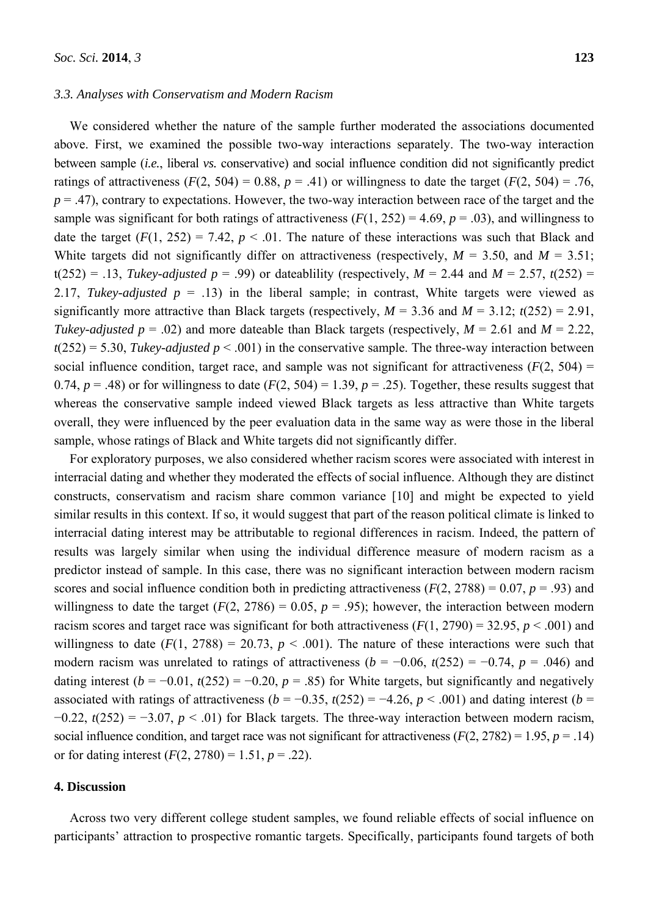#### *3.3. Analyses with Conservatism and Modern Racism*

We considered whether the nature of the sample further moderated the associations documented above. First, we examined the possible two-way interactions separately. The two-way interaction between sample (*i.e.*, liberal *vs.* conservative) and social influence condition did not significantly predict ratings of attractiveness  $(F(2, 504) = 0.88, p = .41)$  or willingness to date the target  $(F(2, 504) = .76,$  $p = .47$ ), contrary to expectations. However, the two-way interaction between race of the target and the sample was significant for both ratings of attractiveness  $(F(1, 252) = 4.69, p = .03)$ , and willingness to date the target  $(F(1, 252) = 7.42, p < .01$ . The nature of these interactions was such that Black and White targets did not significantly differ on attractiveness (respectively,  $M = 3.50$ , and  $M = 3.51$ ;  $t(252) = .13$ , *Tukey-adjusted p* = .99) or dateablility (respectively, *M* = 2.44 and *M* = 2.57, *t*(252) = 2.17, *Tukey-adjusted*  $p = .13$ ) in the liberal sample; in contrast, White targets were viewed as significantly more attractive than Black targets (respectively,  $M = 3.36$  and  $M = 3.12$ ;  $t(252) = 2.91$ , *Tukey-adjusted p* = .02) and more dateable than Black targets (respectively,  $M = 2.61$  and  $M = 2.22$ ,  $t(252) = 5.30$ , *Tukey-adjusted p* < .001) in the conservative sample. The three-way interaction between social influence condition, target race, and sample was not significant for attractiveness  $(F(2, 504) =$ 0.74,  $p = .48$ ) or for willingness to date ( $F(2, 504) = 1.39$ ,  $p = .25$ ). Together, these results suggest that whereas the conservative sample indeed viewed Black targets as less attractive than White targets overall, they were influenced by the peer evaluation data in the same way as were those in the liberal sample, whose ratings of Black and White targets did not significantly differ.

For exploratory purposes, we also considered whether racism scores were associated with interest in interracial dating and whether they moderated the effects of social influence. Although they are distinct constructs, conservatism and racism share common variance [10] and might be expected to yield similar results in this context. If so, it would suggest that part of the reason political climate is linked to interracial dating interest may be attributable to regional differences in racism. Indeed, the pattern of results was largely similar when using the individual difference measure of modern racism as a predictor instead of sample. In this case, there was no significant interaction between modern racism scores and social influence condition both in predicting attractiveness  $(F(2, 2788) = 0.07, p = .93)$  and willingness to date the target  $(F(2, 2786) = 0.05, p = .95)$ ; however, the interaction between modern racism scores and target race was significant for both attractiveness  $(F(1, 2790) = 32.95, p < .001)$  and willingness to date  $(F(1, 2788) = 20.73, p < .001)$ . The nature of these interactions were such that modern racism was unrelated to ratings of attractiveness ( $b = -0.06$ ,  $t(252) = -0.74$ ,  $p = .046$ ) and dating interest  $(b = -0.01, t(252) = -0.20, p = .85)$  for White targets, but significantly and negatively associated with ratings of attractiveness  $(b = -0.35, t(252) = -4.26, p < .001)$  and dating interest  $(b =$ −0.22, *t*(252) = −3.07, *p* < .01) for Black targets. The three-way interaction between modern racism, social influence condition, and target race was not significant for attractiveness  $(F(2, 2782) = 1.95, p = .14)$ or for dating interest  $(F(2, 2780) = 1.51, p = .22)$ .

# **4. Discussion**

Across two very different college student samples, we found reliable effects of social influence on participants' attraction to prospective romantic targets. Specifically, participants found targets of both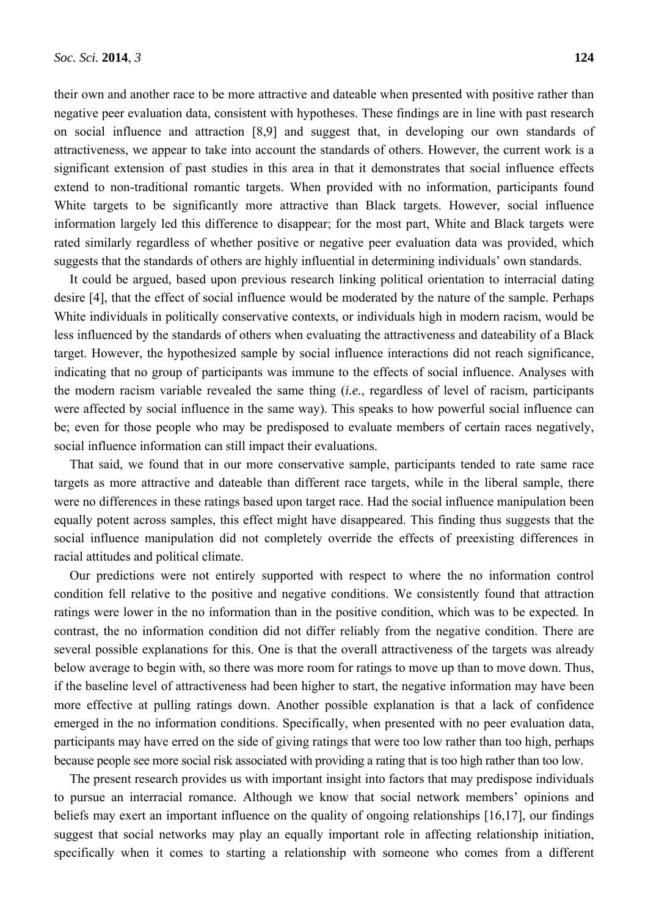their own and another race to be more attractive and dateable when presented with positive rather than negative peer evaluation data, consistent with hypotheses. These findings are in line with past research on social influence and attraction [8,9] and suggest that, in developing our own standards of attractiveness, we appear to take into account the standards of others. However, the current work is a significant extension of past studies in this area in that it demonstrates that social influence effects extend to non-traditional romantic targets. When provided with no information, participants found White targets to be significantly more attractive than Black targets. However, social influence information largely led this difference to disappear; for the most part, White and Black targets were rated similarly regardless of whether positive or negative peer evaluation data was provided, which suggests that the standards of others are highly influential in determining individuals' own standards.

It could be argued, based upon previous research linking political orientation to interracial dating desire [4], that the effect of social influence would be moderated by the nature of the sample. Perhaps White individuals in politically conservative contexts, or individuals high in modern racism, would be less influenced by the standards of others when evaluating the attractiveness and dateability of a Black target. However, the hypothesized sample by social influence interactions did not reach significance, indicating that no group of participants was immune to the effects of social influence. Analyses with the modern racism variable revealed the same thing (*i.e.*, regardless of level of racism, participants were affected by social influence in the same way). This speaks to how powerful social influence can be; even for those people who may be predisposed to evaluate members of certain races negatively, social influence information can still impact their evaluations.

That said, we found that in our more conservative sample, participants tended to rate same race targets as more attractive and dateable than different race targets, while in the liberal sample, there were no differences in these ratings based upon target race. Had the social influence manipulation been equally potent across samples, this effect might have disappeared. This finding thus suggests that the social influence manipulation did not completely override the effects of preexisting differences in racial attitudes and political climate.

Our predictions were not entirely supported with respect to where the no information control condition fell relative to the positive and negative conditions. We consistently found that attraction ratings were lower in the no information than in the positive condition, which was to be expected. In contrast, the no information condition did not differ reliably from the negative condition. There are several possible explanations for this. One is that the overall attractiveness of the targets was already below average to begin with, so there was more room for ratings to move up than to move down. Thus, if the baseline level of attractiveness had been higher to start, the negative information may have been more effective at pulling ratings down. Another possible explanation is that a lack of confidence emerged in the no information conditions. Specifically, when presented with no peer evaluation data, participants may have erred on the side of giving ratings that were too low rather than too high, perhaps because people see more social risk associated with providing a rating that is too high rather than too low.

The present research provides us with important insight into factors that may predispose individuals to pursue an interracial romance. Although we know that social network members' opinions and beliefs may exert an important influence on the quality of ongoing relationships [16,17], our findings suggest that social networks may play an equally important role in affecting relationship initiation, specifically when it comes to starting a relationship with someone who comes from a different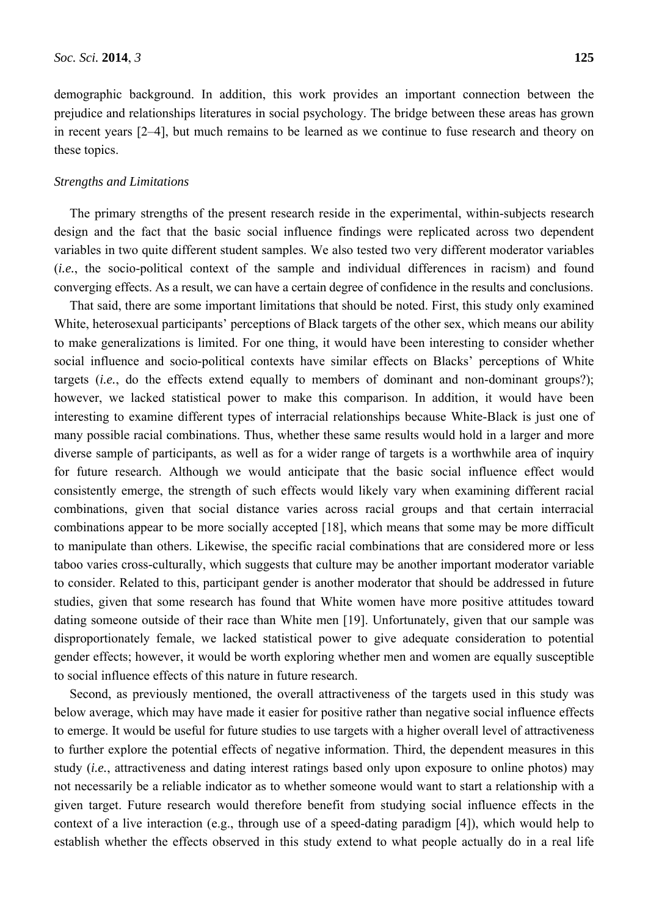demographic background. In addition, this work provides an important connection between the prejudice and relationships literatures in social psychology. The bridge between these areas has grown in recent years [2–4], but much remains to be learned as we continue to fuse research and theory on these topics.

#### *Strengths and Limitations*

The primary strengths of the present research reside in the experimental, within-subjects research design and the fact that the basic social influence findings were replicated across two dependent variables in two quite different student samples. We also tested two very different moderator variables (*i.e.*, the socio-political context of the sample and individual differences in racism) and found converging effects. As a result, we can have a certain degree of confidence in the results and conclusions.

That said, there are some important limitations that should be noted. First, this study only examined White, heterosexual participants' perceptions of Black targets of the other sex, which means our ability to make generalizations is limited. For one thing, it would have been interesting to consider whether social influence and socio-political contexts have similar effects on Blacks' perceptions of White targets (*i.e.*, do the effects extend equally to members of dominant and non-dominant groups?); however, we lacked statistical power to make this comparison. In addition, it would have been interesting to examine different types of interracial relationships because White-Black is just one of many possible racial combinations. Thus, whether these same results would hold in a larger and more diverse sample of participants, as well as for a wider range of targets is a worthwhile area of inquiry for future research. Although we would anticipate that the basic social influence effect would consistently emerge, the strength of such effects would likely vary when examining different racial combinations, given that social distance varies across racial groups and that certain interracial combinations appear to be more socially accepted [18], which means that some may be more difficult to manipulate than others. Likewise, the specific racial combinations that are considered more or less taboo varies cross-culturally, which suggests that culture may be another important moderator variable to consider. Related to this, participant gender is another moderator that should be addressed in future studies, given that some research has found that White women have more positive attitudes toward dating someone outside of their race than White men [19]. Unfortunately, given that our sample was disproportionately female, we lacked statistical power to give adequate consideration to potential gender effects; however, it would be worth exploring whether men and women are equally susceptible to social influence effects of this nature in future research.

Second, as previously mentioned, the overall attractiveness of the targets used in this study was below average, which may have made it easier for positive rather than negative social influence effects to emerge. It would be useful for future studies to use targets with a higher overall level of attractiveness to further explore the potential effects of negative information. Third, the dependent measures in this study (*i.e.*, attractiveness and dating interest ratings based only upon exposure to online photos) may not necessarily be a reliable indicator as to whether someone would want to start a relationship with a given target. Future research would therefore benefit from studying social influence effects in the context of a live interaction (e.g., through use of a speed-dating paradigm [4]), which would help to establish whether the effects observed in this study extend to what people actually do in a real life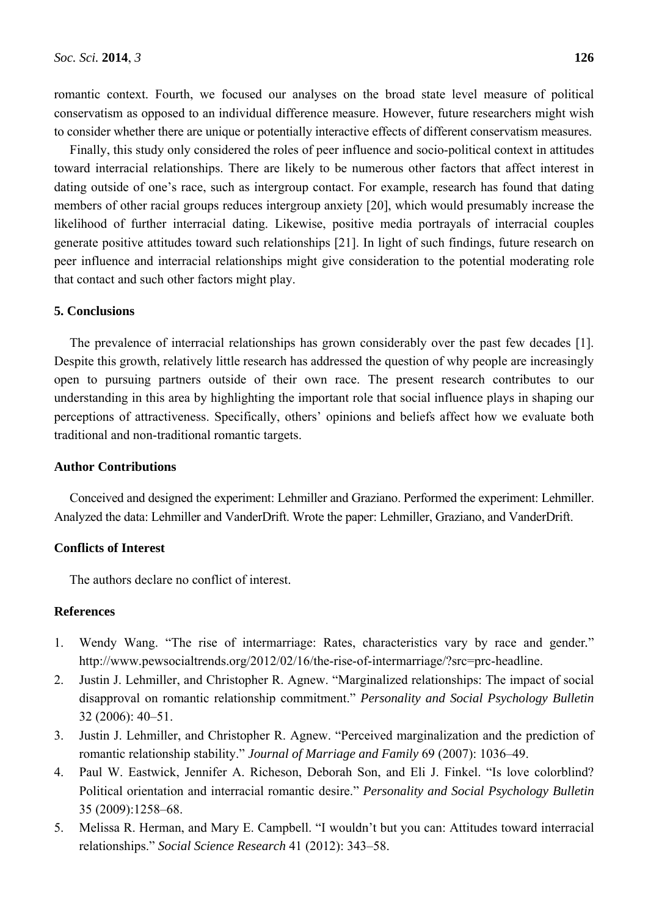romantic context. Fourth, we focused our analyses on the broad state level measure of political conservatism as opposed to an individual difference measure. However, future researchers might wish to consider whether there are unique or potentially interactive effects of different conservatism measures.

Finally, this study only considered the roles of peer influence and socio-political context in attitudes toward interracial relationships. There are likely to be numerous other factors that affect interest in dating outside of one's race, such as intergroup contact. For example, research has found that dating members of other racial groups reduces intergroup anxiety [20], which would presumably increase the likelihood of further interracial dating. Likewise, positive media portrayals of interracial couples generate positive attitudes toward such relationships [21]. In light of such findings, future research on peer influence and interracial relationships might give consideration to the potential moderating role that contact and such other factors might play.

# **5. Conclusions**

The prevalence of interracial relationships has grown considerably over the past few decades [1]. Despite this growth, relatively little research has addressed the question of why people are increasingly open to pursuing partners outside of their own race. The present research contributes to our understanding in this area by highlighting the important role that social influence plays in shaping our perceptions of attractiveness. Specifically, others' opinions and beliefs affect how we evaluate both traditional and non-traditional romantic targets.

# **Author Contributions**

Conceived and designed the experiment: Lehmiller and Graziano. Performed the experiment: Lehmiller. Analyzed the data: Lehmiller and VanderDrift. Wrote the paper: Lehmiller, Graziano, and VanderDrift.

# **Conflicts of Interest**

The authors declare no conflict of interest.

# **References**

- 1. Wendy Wang. "The rise of intermarriage: Rates, characteristics vary by race and gender*.*" http://www.pewsocialtrends.org/2012/02/16/the-rise-of-intermarriage/?src=prc-headline.
- 2. Justin J. Lehmiller, and Christopher R. Agnew. "Marginalized relationships: The impact of social disapproval on romantic relationship commitment." *Personality and Social Psychology Bulletin*  32 (2006): 40–51.
- 3. Justin J. Lehmiller, and Christopher R. Agnew. "Perceived marginalization and the prediction of romantic relationship stability." *Journal of Marriage and Family* 69 (2007): 1036–49.
- 4. Paul W. Eastwick, Jennifer A. Richeson, Deborah Son, and Eli J. Finkel. "Is love colorblind? Political orientation and interracial romantic desire." *Personality and Social Psychology Bulletin* 35 (2009):1258–68.
- 5. Melissa R. Herman, and Mary E. Campbell. "I wouldn't but you can: Attitudes toward interracial relationships." *Social Science Research* 41 (2012): 343–58.